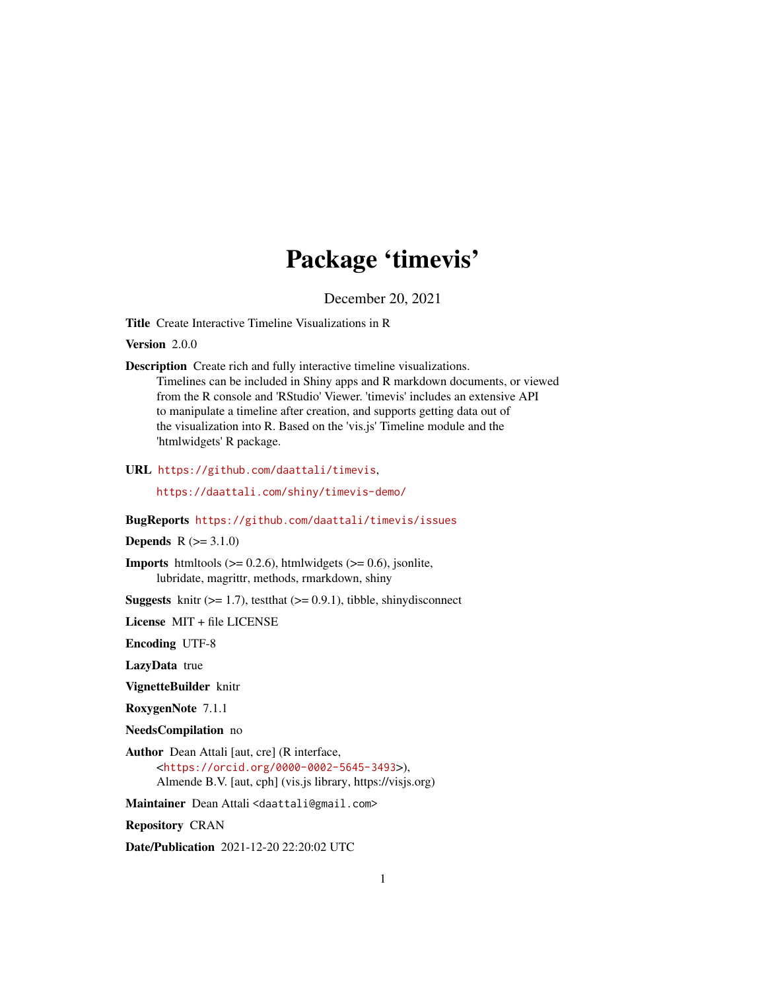# Package 'timevis'

December 20, 2021

Title Create Interactive Timeline Visualizations in R

Version 2.0.0

Description Create rich and fully interactive timeline visualizations. Timelines can be included in Shiny apps and R markdown documents, or viewed from the R console and 'RStudio' Viewer. 'timevis' includes an extensive API to manipulate a timeline after creation, and supports getting data out of the visualization into R. Based on the 'vis.js' Timeline module and the 'htmlwidgets' R package.

URL <https://github.com/daattali/timevis>,

<https://daattali.com/shiny/timevis-demo/>

#### BugReports <https://github.com/daattali/timevis/issues>

#### **Depends**  $R (= 3.1.0)$

**Imports** htmltools  $(>= 0.2.6)$ , htmlwidgets  $(>= 0.6)$ , jsonlite, lubridate, magrittr, methods, rmarkdown, shiny

**Suggests** knitr  $(>= 1.7)$ , test that  $(>= 0.9.1)$ , tibble, shinydisconnect

License MIT + file LICENSE

Encoding UTF-8

LazyData true

VignetteBuilder knitr

RoxygenNote 7.1.1

NeedsCompilation no

Author Dean Attali [aut, cre] (R interface, <<https://orcid.org/0000-0002-5645-3493>>), Almende B.V. [aut, cph] (vis.js library, https://visjs.org)

Maintainer Dean Attali <daattali@gmail.com>

Repository CRAN

Date/Publication 2021-12-20 22:20:02 UTC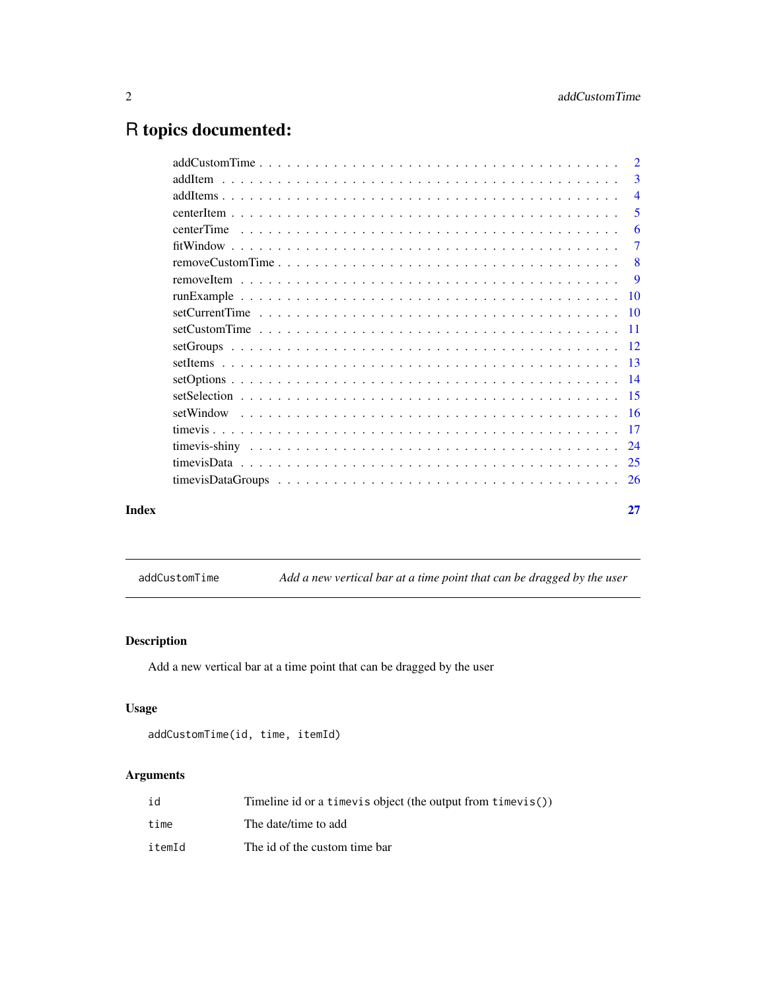# <span id="page-1-0"></span>R topics documented:

| Index | 27                        |
|-------|---------------------------|
|       |                           |
|       |                           |
|       |                           |
|       |                           |
|       |                           |
|       |                           |
|       |                           |
|       |                           |
|       |                           |
|       |                           |
|       |                           |
|       |                           |
|       |                           |
|       | $\overline{\phantom{0}}8$ |
|       | 7                         |
|       | -6                        |
|       | -5                        |
|       | $\overline{4}$            |
|       | 3                         |
|       | $\overline{2}$            |

addCustomTime *Add a new vertical bar at a time point that can be dragged by the user*

# Description

Add a new vertical bar at a time point that can be dragged by the user

# Usage

```
addCustomTime(id, time, itemId)
```
# Arguments

| id     | Timeline id or a time vis object (the output from time vis()) |
|--------|---------------------------------------------------------------|
| time   | The date/time to add                                          |
| itemId | The id of the custom time bar                                 |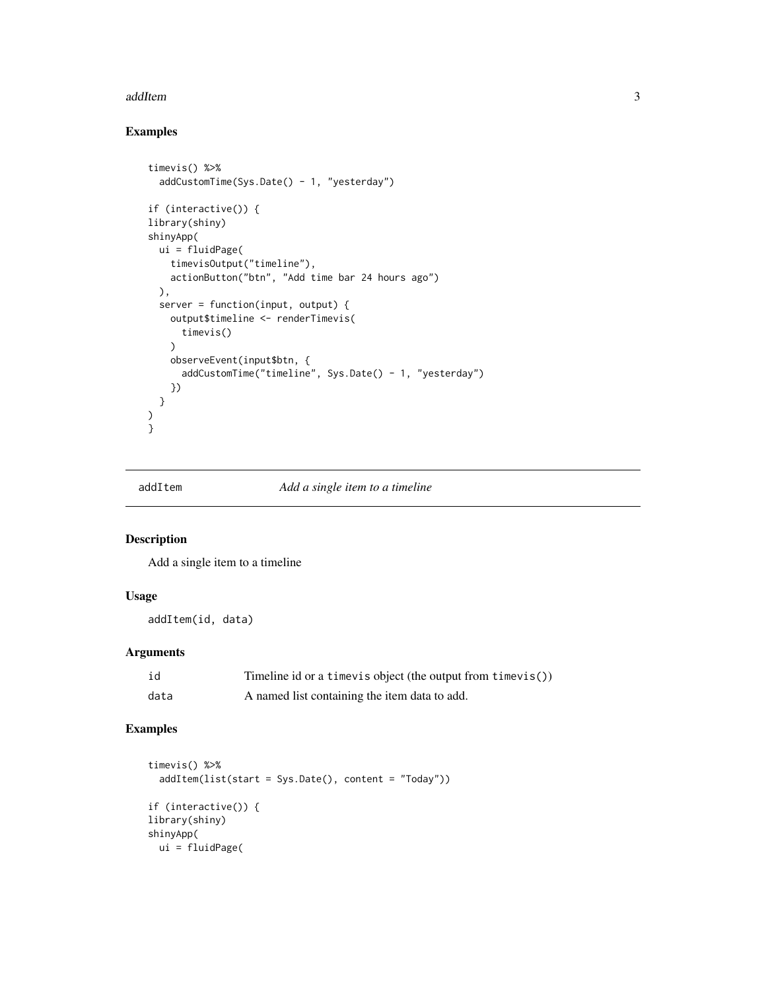#### <span id="page-2-0"></span>addItem 3

# Examples

```
timevis() %>%
  addCustomTime(Sys.Date() - 1, "yesterday")
if (interactive()) {
library(shiny)
shinyApp(
 ui = fluidPage(
    timevisOutput("timeline"),
    actionButton("btn", "Add time bar 24 hours ago")
  ),
  server = function(input, output) {
    output$timeline <- renderTimevis(
     timevis()
    \lambdaobserveEvent(input$btn, {
      addCustomTime("timeline", Sys.Date() - 1, "yesterday")
    })
  }
)
\frac{1}{3}
```
# addItem *Add a single item to a timeline*

#### Description

Add a single item to a timeline

# Usage

addItem(id, data)

# Arguments

| id   | Timeline id or a timevis object (the output from timevis()) |
|------|-------------------------------------------------------------|
| data | A named list containing the item data to add.               |

```
timevis() %>%
  addItem(list(start = Sys.Date(), content = "Today"))
if (interactive()) {
library(shiny)
shinyApp(
 ui = fluidPage(
```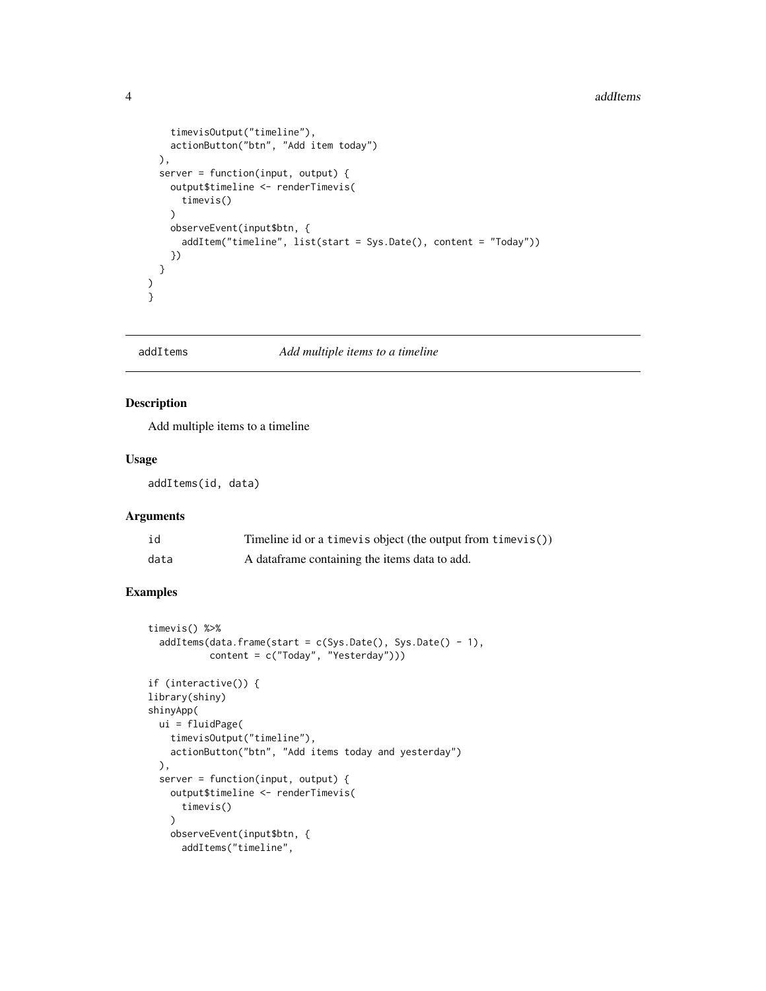#### <span id="page-3-0"></span>4 addItems and  $\frac{1}{4}$  and  $\frac{1}{4}$  and  $\frac{1}{4}$  and  $\frac{1}{4}$  and  $\frac{1}{4}$  and  $\frac{1}{4}$  and  $\frac{1}{4}$  and  $\frac{1}{4}$  and  $\frac{1}{4}$  and  $\frac{1}{4}$  and  $\frac{1}{4}$  and  $\frac{1}{4}$  and  $\frac{1}{4}$  and  $\frac{1}{4}$  and  $\frac{1}{4}$  a

```
timevisOutput("timeline"),
    actionButton("btn", "Add item today")
 ),
 server = function(input, output) {
   output$timeline <- renderTimevis(
      timevis()
   \lambdaobserveEvent(input$btn, {
      addItem("timeline", list(start = Sys.Date(), content = "Today"))
   })
 }
)
}
```
# addItems *Add multiple items to a timeline*

#### Description

Add multiple items to a timeline

#### Usage

addItems(id, data)

# Arguments

| id   | Timeline id or a timevis object (the output from timevis()) |
|------|-------------------------------------------------------------|
| data | A data frame containing the items data to add.              |

```
timevis() %>%
 addItems(data.fname(start = c(Sys.Date(), Sys.Date() - 1),content = c("Today", "Yesterday")))
if (interactive()) {
library(shiny)
shinyApp(
 ui = fluidPage(
   timevisOutput("timeline"),
   actionButton("btn", "Add items today and yesterday")
 ),
 server = function(input, output) {
   output$timeline <- renderTimevis(
     timevis()
   )
   observeEvent(input$btn, {
     addItems("timeline",
```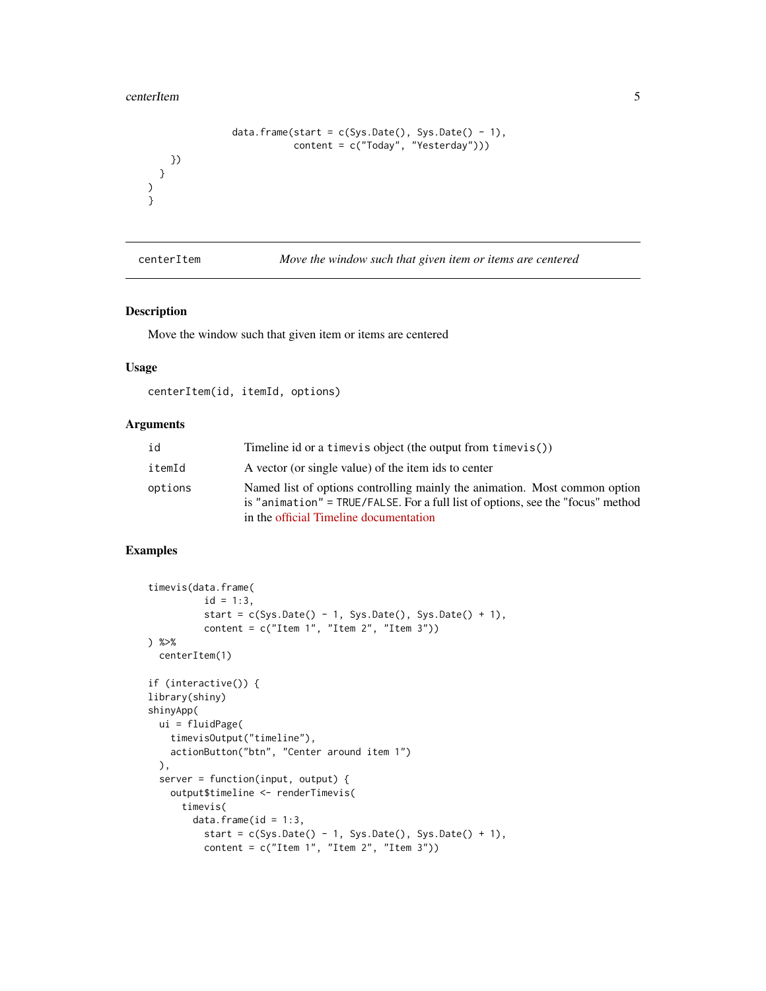#### <span id="page-4-0"></span>centerItem 5

) }

```
data.frame(start = c(Sys.Date(), Sys.Date() - 1),
                        content = c("Today", "Yesterday")))
 })
}
```
centerItem *Move the window such that given item or items are centered*

#### Description

Move the window such that given item or items are centered

#### Usage

centerItem(id, itemId, options)

#### Arguments

| id      | Timeline id or a time vis object (the output from time vis())                                                                                                                                           |
|---------|---------------------------------------------------------------------------------------------------------------------------------------------------------------------------------------------------------|
| itemId  | A vector (or single value) of the item ids to center                                                                                                                                                    |
| options | Named list of options controlling mainly the animation. Most common option<br>is "animation" = TRUE/FALSE. For a full list of options, see the "focus" method<br>in the official Timeline documentation |

```
timevis(data.frame(
          id = 1:3,
          start = c(Sys.Date() - 1, Sys.Date(), Sys.Date() + 1),content = c("Item 1", "Item 2", "Item 3"))) %>%
  centerItem(1)
if (interactive()) {
library(shiny)
shinyApp(
  ui = fluidPage(
   timevisOutput("timeline"),
    actionButton("btn", "Center around item 1")
  ),
  server = function(input, output) {
   output$timeline <- renderTimevis(
      timevis(
       data.frame(id = 1:3,
         start = c(Sys.Date() - 1, Sys.Date(), Sys.Date() + 1),content = c("Item 1", "Item 2", "Item 3"))
```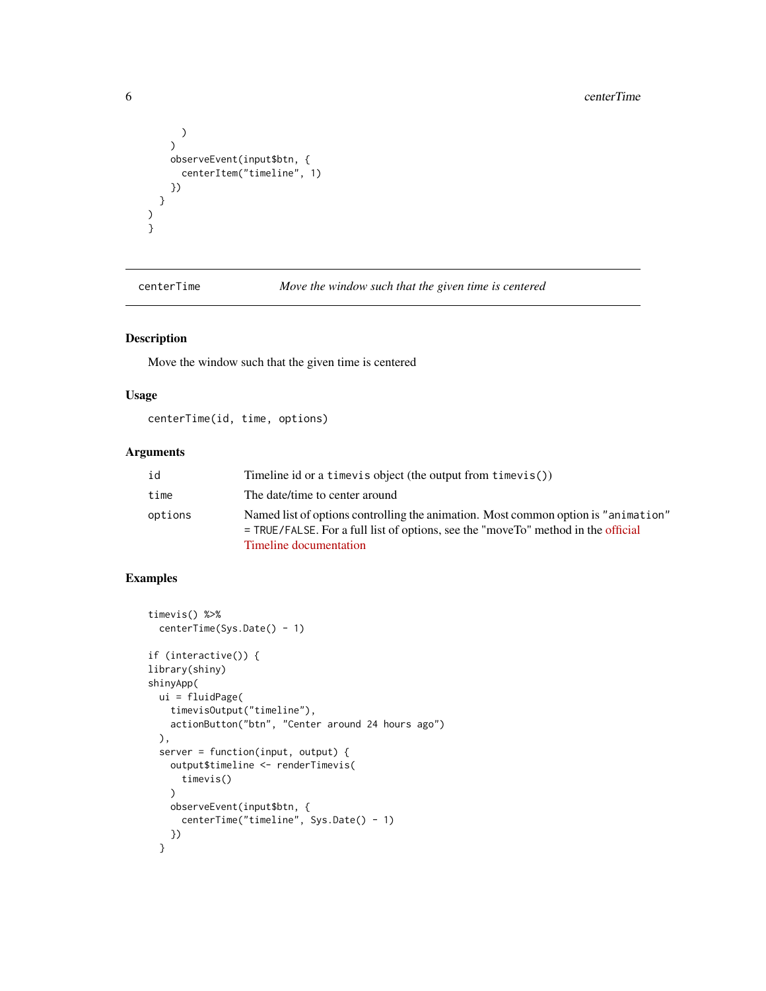```
\lambda)
    observeEvent(input$btn, {
       centerItem("timeline", 1)
    })
  }
\lambda}
```
centerTime *Move the window such that the given time is centered*

# Description

Move the window such that the given time is centered

#### Usage

centerTime(id, time, options)

#### Arguments

| id      | Timeline id or a timevis object (the output from timevis())                                                                                                                                          |
|---------|------------------------------------------------------------------------------------------------------------------------------------------------------------------------------------------------------|
| time    | The date/time to center around                                                                                                                                                                       |
| options | Named list of options controlling the animation. Most common option is "animation"<br>$=$ TRUE/FALSE. For a full list of options, see the "move To" method in the official<br>Timeline documentation |

```
timevis() %>%
  centerTime(Sys.Date() - 1)
if (interactive()) {
library(shiny)
shinyApp(
  ui = fluidPage(
   timevisOutput("timeline"),
   actionButton("btn", "Center around 24 hours ago")
  ),
  server = function(input, output) {
   output$timeline <- renderTimevis(
      timevis()
   )
   observeEvent(input$btn, {
      centerTime("timeline", Sys.Date() - 1)
   })
  }
```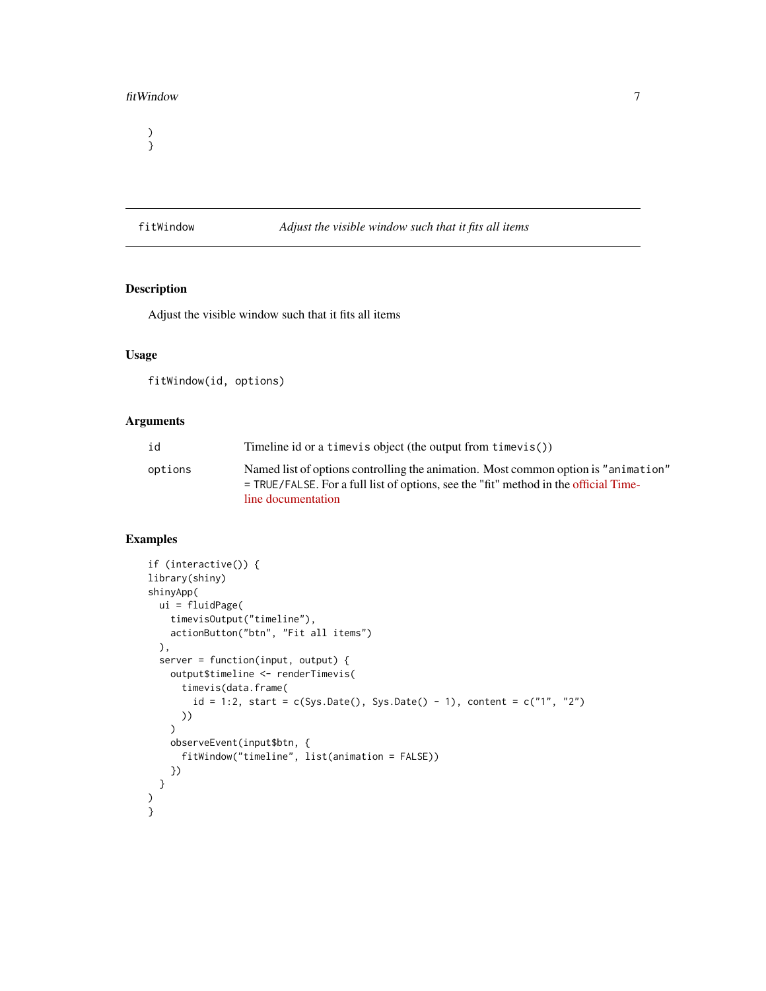#### <span id="page-6-0"></span>fitWindow 7

) }

fitWindow *Adjust the visible window such that it fits all items*

# Description

Adjust the visible window such that it fits all items

# Usage

fitWindow(id, options)

#### Arguments

| id      | Timeline id or a time vis object (the output from time vis())                                                                                                                                      |
|---------|----------------------------------------------------------------------------------------------------------------------------------------------------------------------------------------------------|
| options | Named list of options controlling the animation. Most common option is "animation"<br>$=$ TRUE/FALSE. For a full list of options, see the "fit" method in the official Time-<br>line documentation |

```
if (interactive()) {
library(shiny)
shinyApp(
  ui = fluidPage(
    timevisOutput("timeline"),
   actionButton("btn", "Fit all items")
  ),
  server = function(input, output) {
   output$timeline <- renderTimevis(
      timevis(data.frame(
        id = 1:2, start = c(Sys.Date(), Sys.Date() - 1), content = c("1", "2")
     ))
    )
    observeEvent(input$btn, {
      fitWindow("timeline", list(animation = FALSE))
   })
  }
)
}
```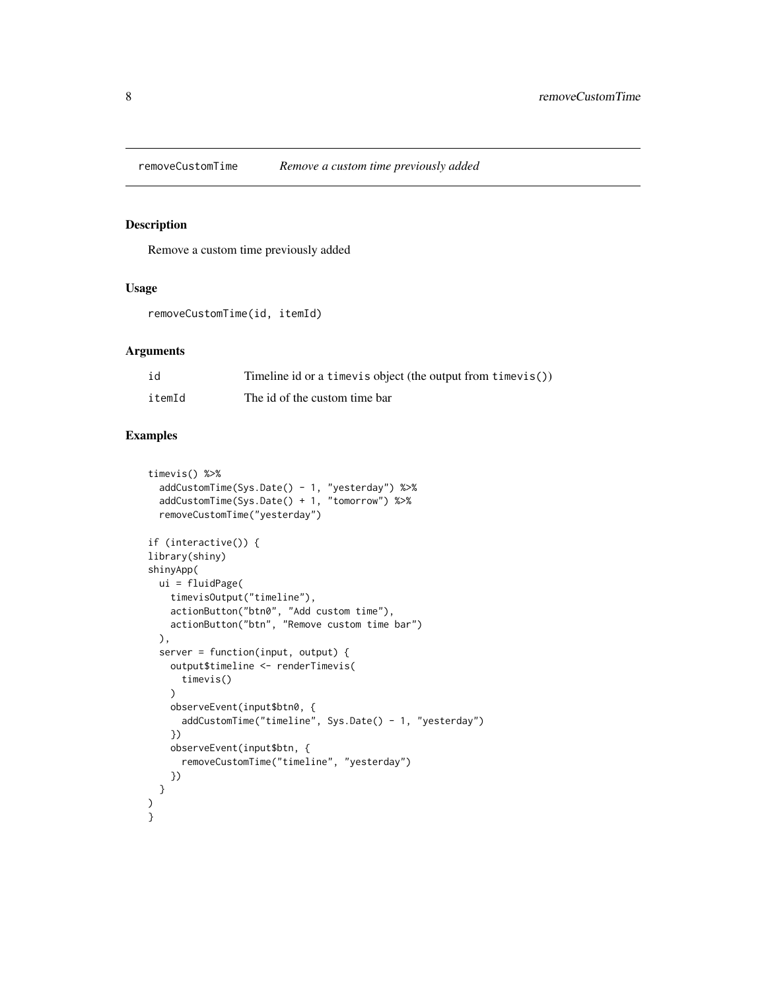<span id="page-7-0"></span>

Remove a custom time previously added

# Usage

removeCustomTime(id, itemId)

# Arguments

| id     | Timeline id or a timevis object (the output from timevis()) |
|--------|-------------------------------------------------------------|
| itemId | The id of the custom time bar                               |

```
timevis() %>%
  addCustomTime(Sys.Date() - 1, "yesterday") %>%
  addCustomTime(Sys.Date() + 1, "tomorrow") %>%
  removeCustomTime("yesterday")
if (interactive()) {
library(shiny)
shinyApp(
  ui = fluidPage(
    timevisOutput("timeline"),
    actionButton("btn0", "Add custom time"),
    actionButton("btn", "Remove custom time bar")
  ),
  server = function(input, output) {
    output$timeline <- renderTimevis(
      timevis()
    \lambdaobserveEvent(input$btn0, {
      addCustomTime("timeline", Sys.Date() - 1, "yesterday")
    })
    observeEvent(input$btn, {
      removeCustomTime("timeline", "yesterday")
    })
  }
\mathcal{L}}
```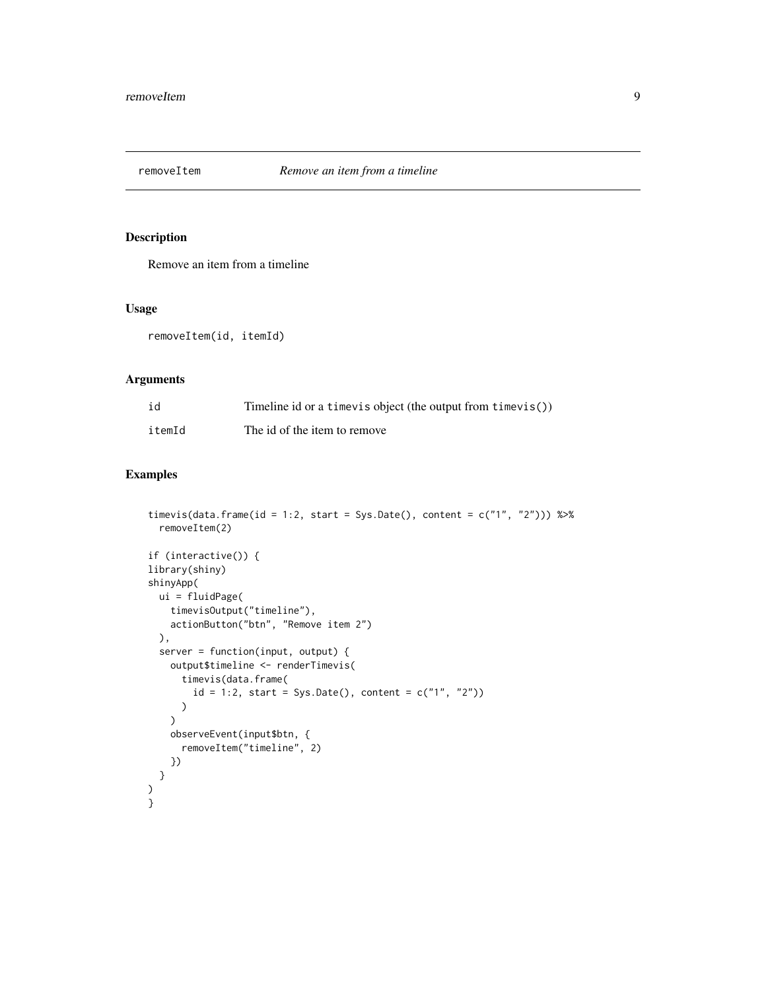<span id="page-8-1"></span><span id="page-8-0"></span>

Remove an item from a timeline

#### Usage

removeItem(id, itemId)

# Arguments

| id     | Timeline id or a timevis object (the output from timevis()) |
|--------|-------------------------------------------------------------|
| itemId | The id of the item to remove                                |

```
timevis(data.frame(id = 1:2, start = Sys.Date(), content = c("1", "2"))) %>%
  removeItem(2)
if (interactive()) {
library(shiny)
shinyApp(
 ui = fluidPage(
   timevisOutput("timeline"),
   actionButton("btn", "Remove item 2")
  ),
  server = function(input, output) {
   output$timeline <- renderTimevis(
      timevis(data.frame(
        id = 1:2, start = Sys.Date(), content = c("1", "2"))
     )
   )
   observeEvent(input$btn, {
      removeItem("timeline", 2)
   })
 }
)
}
```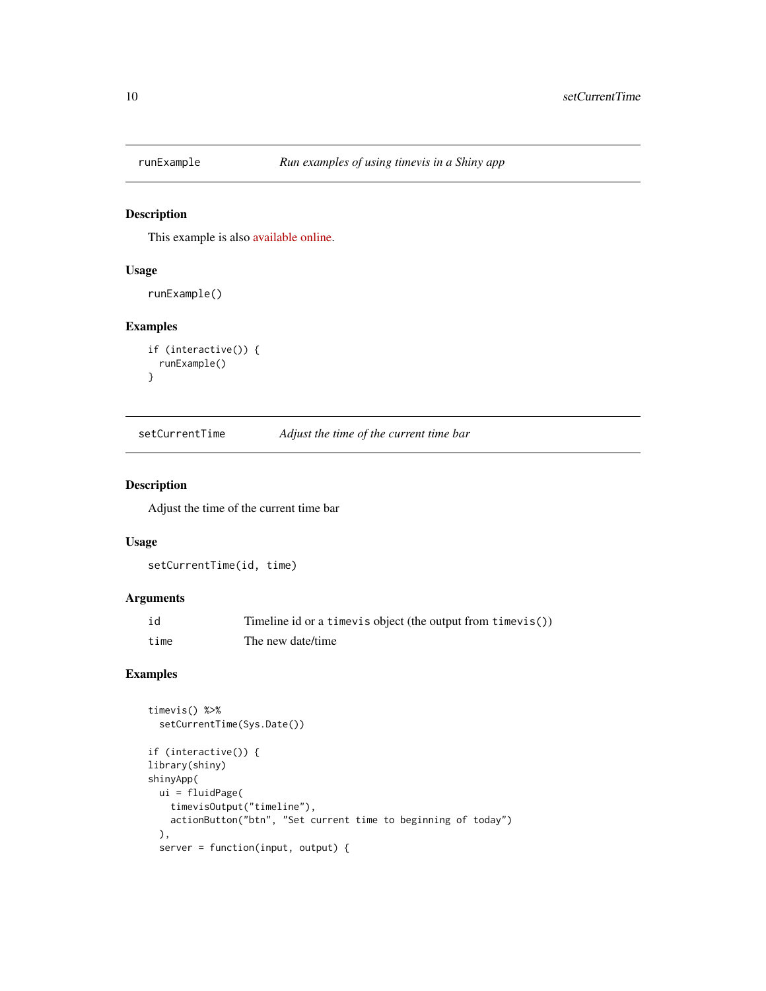<span id="page-9-0"></span>

This example is also [available online.](https://daattali.com/shiny/timevis-demo/)

#### Usage

runExample()

# Examples

```
if (interactive()) {
 runExample()
}
```
setCurrentTime *Adjust the time of the current time bar*

#### Description

Adjust the time of the current time bar

#### Usage

```
setCurrentTime(id, time)
```
# Arguments

| id   | Timeline id or a timevis object (the output from timevis()) |
|------|-------------------------------------------------------------|
| time | The new date/time                                           |

```
timevis() %>%
  setCurrentTime(Sys.Date())
if (interactive()) {
library(shiny)
shinyApp(
  ui = fluidPage(
   timevisOutput("timeline"),
   actionButton("btn", "Set current time to beginning of today")
  ),
  server = function(input, output) {
```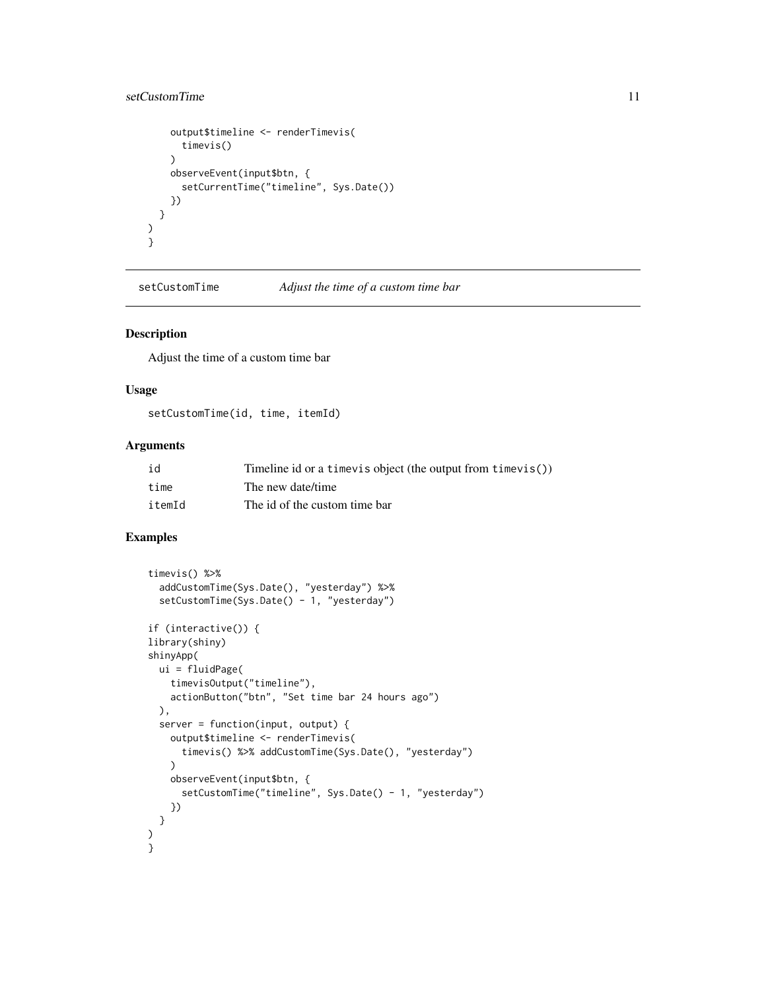# <span id="page-10-0"></span>setCustomTime 11

```
output$timeline <- renderTimevis(
      timevis()
    )
   observeEvent(input$btn, {
      setCurrentTime("timeline", Sys.Date())
   })
  }
)
}
```
setCustomTime *Adjust the time of a custom time bar*

#### Description

Adjust the time of a custom time bar

#### Usage

setCustomTime(id, time, itemId)

#### Arguments

| id     | Timeline id or a timevis object (the output from timevis()) |
|--------|-------------------------------------------------------------|
| time   | The new date/time                                           |
| itemId | The id of the custom time bar                               |

```
timevis() %>%
  addCustomTime(Sys.Date(), "yesterday") %>%
  setCustomTime(Sys.Date() - 1, "yesterday")
if (interactive()) {
library(shiny)
shinyApp(
  ui = fluidPage(
   timevisOutput("timeline"),
    actionButton("btn", "Set time bar 24 hours ago")
  ),
  server = function(input, output) {
    output$timeline <- renderTimevis(
      timevis() %>% addCustomTime(Sys.Date(), "yesterday")
   )
   observeEvent(input$btn, {
      setCustomTime("timeline", Sys.Date() - 1, "yesterday")
   })
 }
)
}
```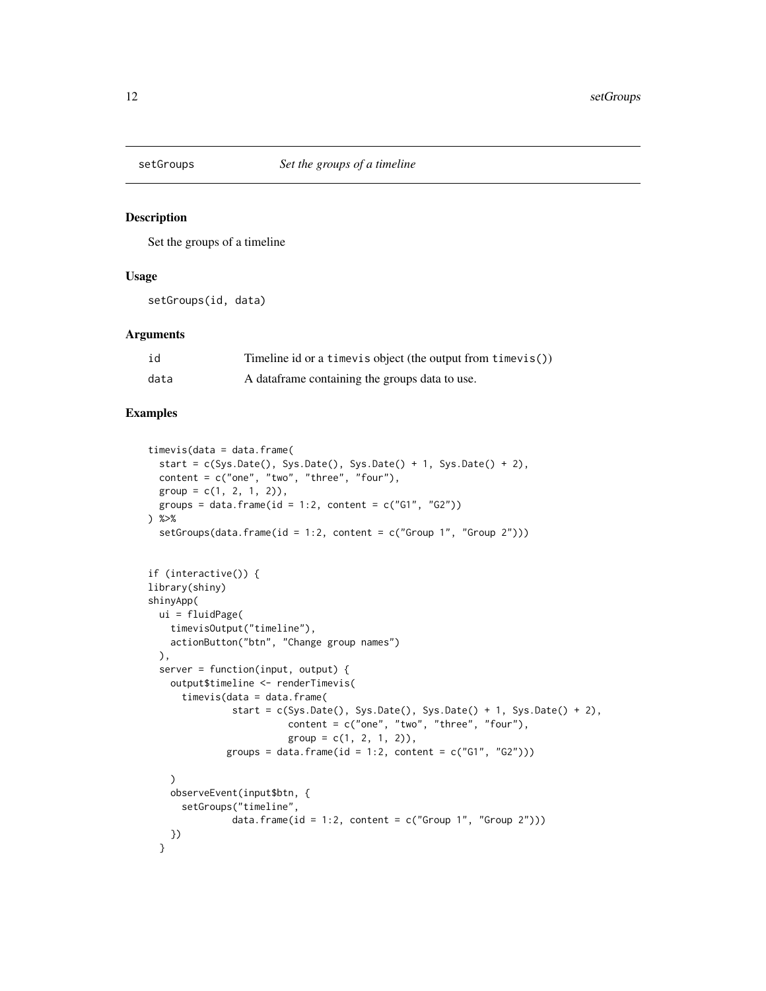<span id="page-11-1"></span><span id="page-11-0"></span>

Set the groups of a timeline

#### Usage

setGroups(id, data)

#### Arguments

| id   | Timeline id or a timevis object (the output from timevis()) |
|------|-------------------------------------------------------------|
| data | A data frame containing the groups data to use.             |

```
timevis(data = data.frame(
  start = c(Sys.Date(), Sys.Date(), Sys.Date() + 1, Sys.Date() + 2),
  content = c("one", "two", "three", "four"),group = c(1, 2, 1, 2)),groups = data.frame(id = 1:2, content = c("G1", "G2"))) %>%
  setGroups(data.frame(id = 1:2, content = c("Group 1", "Group 2"))if (interactive()) {
library(shiny)
shinyApp(
  ui = fluidPage(
    timevisOutput("timeline"),
   actionButton("btn", "Change group names")
  ),
  server = function(input, output) {
   output$timeline <- renderTimevis(
      timevis(data = data.frame(
               start = c(Sys.Date(), Sys.Date(), Sys.Date() + 1, Sys.Date() + 2),content = c("one", "two", "three", "four"),
                         group = c(1, 2, 1, 2)),groups = data.frame(id = 1:2, content = c("G1", "G2")))
    )
   observeEvent(input$btn, {
      setGroups("timeline",
               data.frame(id = 1:2, content = c("Group 1", "Group 2")))
   })
  }
```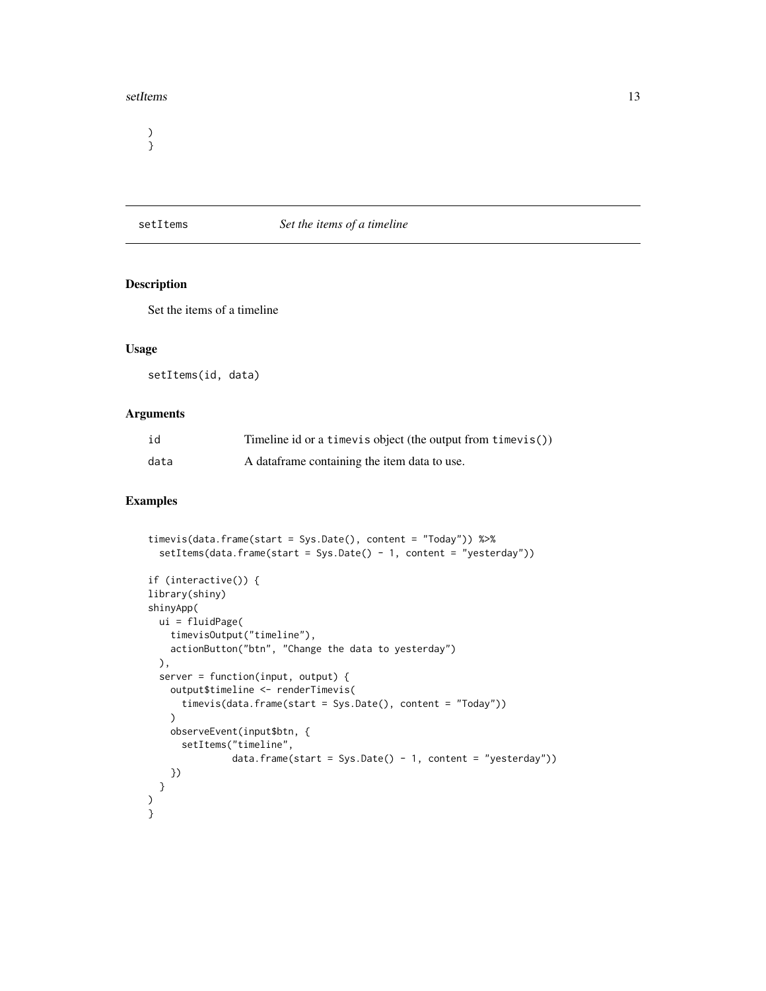#### <span id="page-12-0"></span>setItems and the set of the set of the set of the set of the set of the set of the set of the set of the set of the set of the set of the set of the set of the set of the set of the set of the set of the set of the set of

) }

## <span id="page-12-1"></span>setItems *Set the items of a timeline*

# Description

Set the items of a timeline

# Usage

setItems(id, data)

# Arguments

| id   | Timeline id or a time vis object (the output from time vis()) |
|------|---------------------------------------------------------------|
| data | A data frame containing the item data to use.                 |

```
timevis(data.frame(start = Sys.Date(), content = "Today")) %>%
  setItems(data.frame(start = Sys.Date() - 1, content = "yesterday"))
if (interactive()) {
library(shiny)
shinyApp(
 ui = fluidPage(
   timevisOutput("timeline"),
   actionButton("btn", "Change the data to yesterday")
  ),
  server = function(input, output) {
   output$timeline <- renderTimevis(
      timevis(data.frame(start = Sys.Date(), content = "Today"))
   \lambdaobserveEvent(input$btn, {
      setItems("timeline",
               data.frame(start = Sys.Date() - 1, content = "yesterday"))
   })
  }
\big)}
```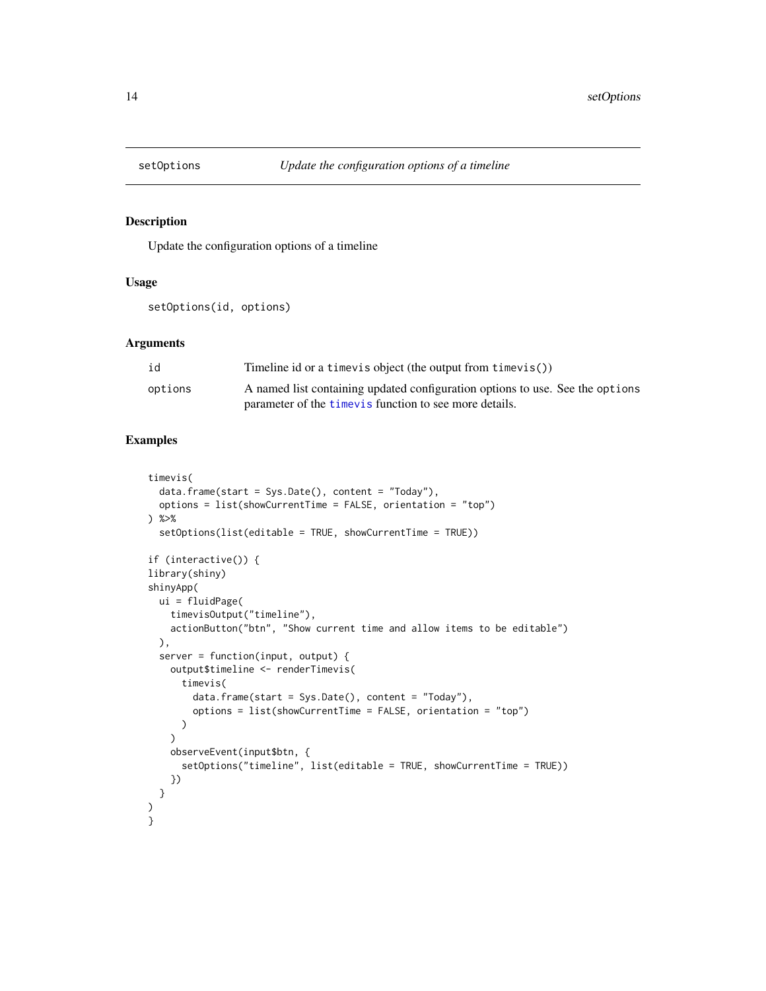<span id="page-13-0"></span>

Update the configuration options of a timeline

## Usage

setOptions(id, options)

#### Arguments

| id      | Timeline id or a time vis object (the output from time vis())                 |
|---------|-------------------------------------------------------------------------------|
| options | A named list containing updated configuration options to use. See the options |
|         | parameter of the <i>timevis</i> function to see more details.                 |

```
timevis(
  data.frame(start = Sys.Date(), content = "Today"),
  options = list(showCurrentTime = FALSE, orientation = "top")
) %>%
  setOptions(list(editable = TRUE, showCurrentTime = TRUE))
if (interactive()) {
library(shiny)
shinyApp(
  ui = fluidPage(
    timevisOutput("timeline"),
    actionButton("btn", "Show current time and allow items to be editable")
  ),
  server = function(input, output) {
   output$timeline <- renderTimevis(
      timevis(
        data.frame(start = Sys.Date(), content = "Today"),
        options = list(showCurrentTime = FALSE, orientation = "top")
     )
   \lambdaobserveEvent(input$btn, {
      setOptions("timeline", list(editable = TRUE, showCurrentTime = TRUE))
   })
 }
)
}
```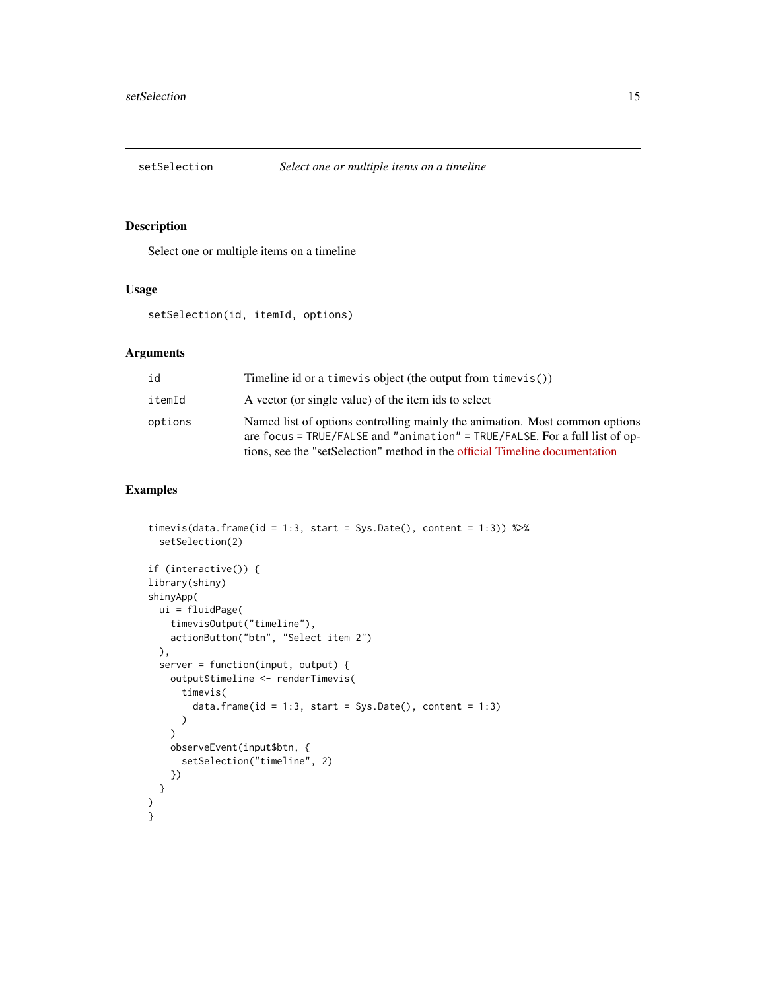<span id="page-14-1"></span><span id="page-14-0"></span>

Select one or multiple items on a timeline

## Usage

setSelection(id, itemId, options)

## Arguments

| id      | Timeline id or a time vis object (the output from time vis())                                                                                                                                                                             |
|---------|-------------------------------------------------------------------------------------------------------------------------------------------------------------------------------------------------------------------------------------------|
| itemId  | A vector (or single value) of the item ids to select                                                                                                                                                                                      |
| options | Named list of options controlling mainly the animation. Most common options<br>are focus = TRUE/FALSE and "animation" = TRUE/FALSE. For a full list of op-<br>tions, see the "setSelection" method in the official Timeline documentation |

```
timevis(data.frame(id = 1:3, start = Sys.Date(), content = 1:3)) %\gg%
  setSelection(2)
if (interactive()) {
library(shiny)
shinyApp(
 ui = fluidPage(
   timevisOutput("timeline"),
   actionButton("btn", "Select item 2")
  ),
  server = function(input, output) {
    output$timeline <- renderTimevis(
      timevis(
        data.frame(id = 1:3, start = Sys.Date(), content = 1:3)
      )
    \lambdaobserveEvent(input$btn, {
      setSelection("timeline", 2)
    })
  }
\mathcal{L}}
```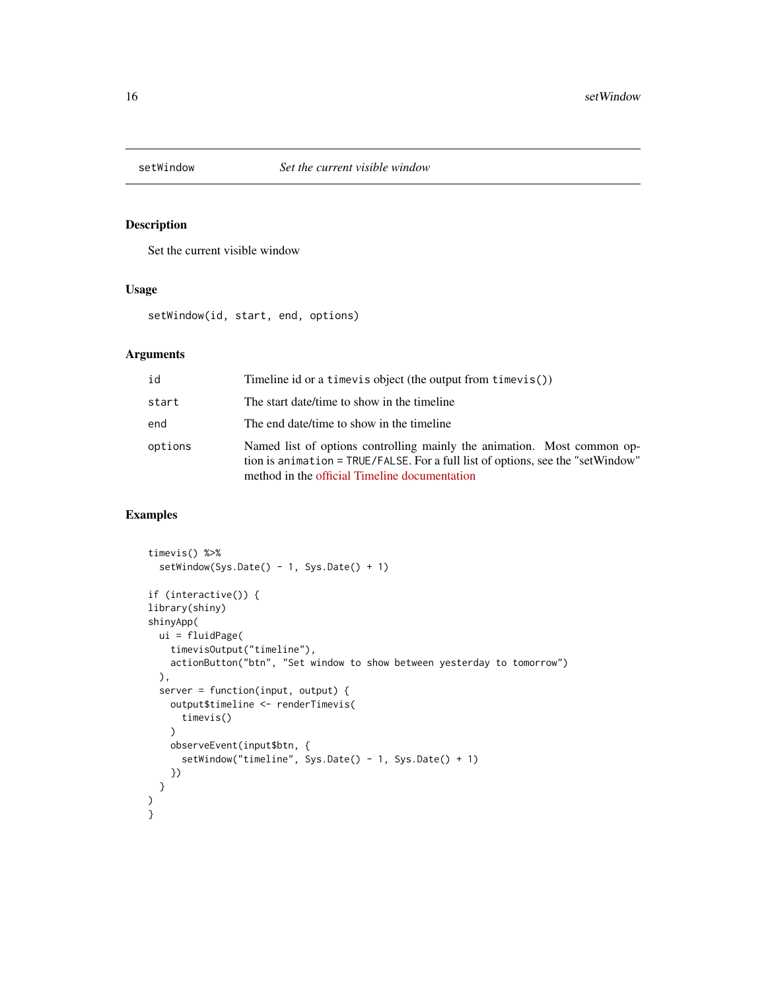<span id="page-15-0"></span>

Set the current visible window

## Usage

setWindow(id, start, end, options)

# Arguments

| id      | Timeline id or a timevis object (the output from timevis())                                                                                                                                                 |
|---------|-------------------------------------------------------------------------------------------------------------------------------------------------------------------------------------------------------------|
| start   | The start date/time to show in the timeline                                                                                                                                                                 |
| end     | The end date/time to show in the timeline                                                                                                                                                                   |
| options | Named list of options controlling mainly the animation. Most common op-<br>tion is animation = TRUE/FALSE. For a full list of options, see the "setWindow"<br>method in the official Timeline documentation |

```
timevis() %>%
  setWindow(Sys.Date() - 1, Sys.Date() + 1)
if (interactive()) {
library(shiny)
shinyApp(
 ui = fluidPage(
   timevisOutput("timeline"),
   actionButton("btn", "Set window to show between yesterday to tomorrow")
  ),
  server = function(input, output) {
   output$timeline <- renderTimevis(
     timevis()
   \lambdaobserveEvent(input$btn, {
      setWindow("timeline", Sys.Date() - 1, Sys.Date() + 1)
   })
 }
)
}
```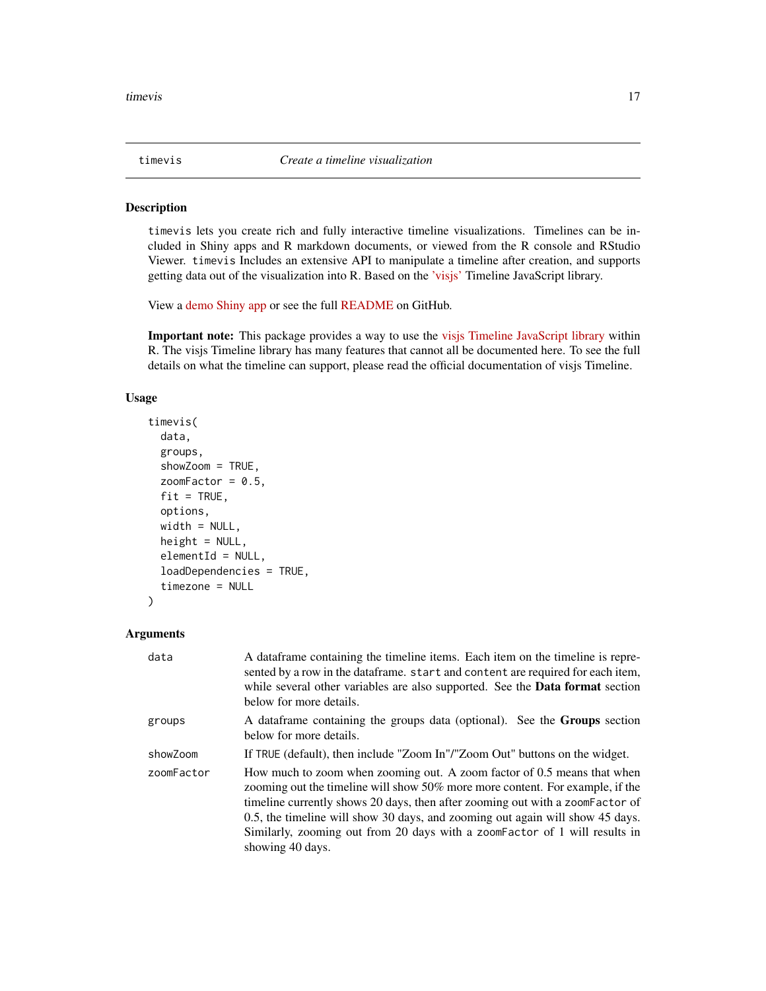<span id="page-16-1"></span><span id="page-16-0"></span>

timevis lets you create rich and fully interactive timeline visualizations. Timelines can be included in Shiny apps and R markdown documents, or viewed from the R console and RStudio Viewer. timevis Includes an extensive API to manipulate a timeline after creation, and supports getting data out of the visualization into R. Based on the ['visjs'](https://visjs.org/) Timeline JavaScript library.

View a [demo Shiny app](https://daattali.com/shiny/timevis-demo/) or see the full [README](https://github.com/daattali/timevis) on GitHub.

Important note: This package provides a way to use the [visjs Timeline JavaScript library](https://visjs.org/) within R. The visjs Timeline library has many features that cannot all be documented here. To see the full details on what the timeline can support, please read the official documentation of visjs Timeline.

#### Usage

```
timevis(
  data,
  groups,
  showZoom = TRUE,
  zoomFactor = 0.5,
  fit = TRUE,options,
  width = NULL,height = NULL,elementId = NULL,loadDependencies = TRUE,
  timezone = NULL
)
```
#### Arguments

| data       | A data frame containing the timeline items. Each item on the timeline is repre-<br>sented by a row in the dataframe. start and content are required for each item,<br>while several other variables are also supported. See the <b>Data format</b> section<br>below for more details.                                                                                                                                        |
|------------|------------------------------------------------------------------------------------------------------------------------------------------------------------------------------------------------------------------------------------------------------------------------------------------------------------------------------------------------------------------------------------------------------------------------------|
| groups     | A data frame containing the groups data (optional). See the <b>Groups</b> section<br>below for more details.                                                                                                                                                                                                                                                                                                                 |
| showZoom   | If TRUE (default), then include "Zoom In"/"Zoom Out" buttons on the widget.                                                                                                                                                                                                                                                                                                                                                  |
| zoomFactor | How much to zoom when zooming out. A zoom factor of 0.5 means that when<br>zooming out the timeline will show 50% more more content. For example, if the<br>timeline currently shows 20 days, then after zooming out with a zoomFactor of<br>0.5, the timeline will show 30 days, and zooming out again will show 45 days.<br>Similarly, zooming out from 20 days with a zoomFactor of 1 will results in<br>showing 40 days. |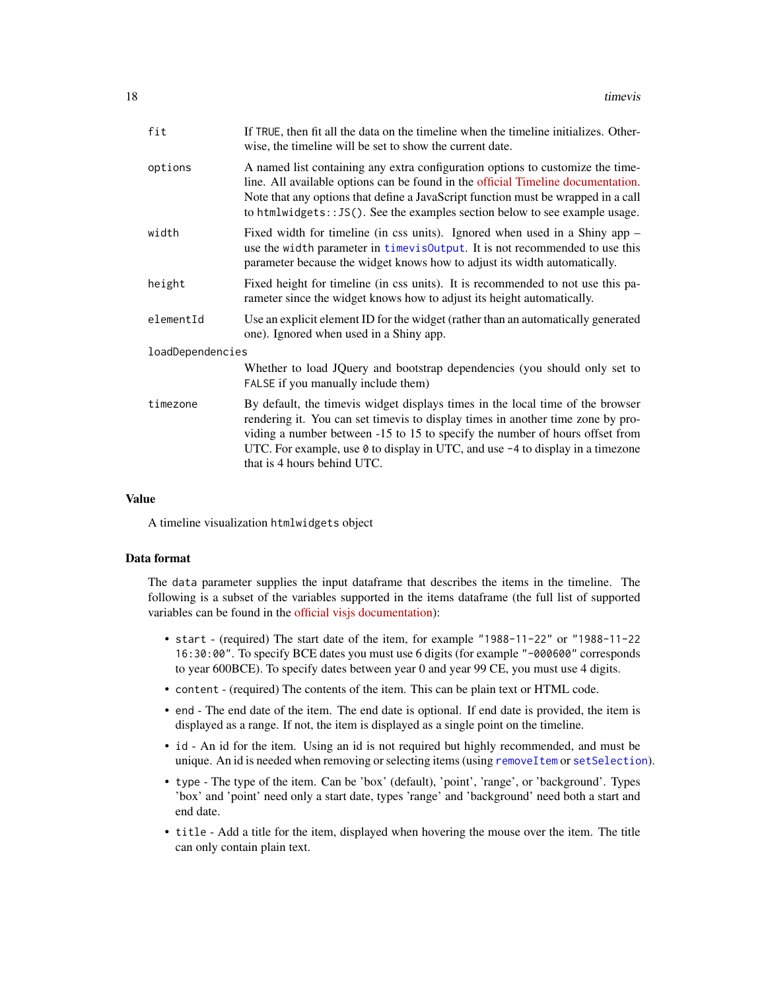<span id="page-17-0"></span>

| fit              | If TRUE, then fit all the data on the timeline when the timeline initializes. Other-<br>wise, the timeline will be set to show the current date.                                                                                                                                                                                                                   |
|------------------|--------------------------------------------------------------------------------------------------------------------------------------------------------------------------------------------------------------------------------------------------------------------------------------------------------------------------------------------------------------------|
| options          | A named list containing any extra configuration options to customize the time-<br>line. All available options can be found in the official Timeline documentation.<br>Note that any options that define a JavaScript function must be wrapped in a call<br>to htmlwidgets:: JS(). See the examples section below to see example usage.                             |
| width            | Fixed width for timeline (in css units). Ignored when used in a Shiny app $-$<br>use the width parameter in timevisOutput. It is not recommended to use this<br>parameter because the widget knows how to adjust its width automatically.                                                                                                                          |
| height           | Fixed height for timeline (in css units). It is recommended to not use this pa-<br>rameter since the widget knows how to adjust its height automatically.                                                                                                                                                                                                          |
| elementId        | Use an explicit element ID for the widget (rather than an automatically generated<br>one). Ignored when used in a Shiny app.                                                                                                                                                                                                                                       |
| loadDependencies |                                                                                                                                                                                                                                                                                                                                                                    |
|                  | Whether to load JQuery and bootstrap dependencies (you should only set to<br>FALSE if you manually include them)                                                                                                                                                                                                                                                   |
| timezone         | By default, the timevis widget displays times in the local time of the browser<br>rendering it. You can set timevis to display times in another time zone by pro-<br>viding a number between -15 to 15 to specify the number of hours offset from<br>UTC. For example, use 0 to display in UTC, and use -4 to display in a timezone<br>that is 4 hours behind UTC. |
|                  |                                                                                                                                                                                                                                                                                                                                                                    |

#### Value

A timeline visualization htmlwidgets object

#### Data format

The data parameter supplies the input dataframe that describes the items in the timeline. The following is a subset of the variables supported in the items dataframe (the full list of supported variables can be found in the [official visjs documentation\)](https://visjs.github.io/vis-timeline/docs/timeline/#Data_Format):

- start (required) The start date of the item, for example "1988-11-22" or "1988-11-22 16:30:00". To specify BCE dates you must use 6 digits (for example "-000600" corresponds to year 600BCE). To specify dates between year 0 and year 99 CE, you must use 4 digits.
- content (required) The contents of the item. This can be plain text or HTML code.
- end The end date of the item. The end date is optional. If end date is provided, the item is displayed as a range. If not, the item is displayed as a single point on the timeline.
- id An id for the item. Using an id is not required but highly recommended, and must be unique. An id is needed when removing or selecting items (using [removeItem](#page-8-1) or [setSelection](#page-14-1)).
- type The type of the item. Can be 'box' (default), 'point', 'range', or 'background'. Types 'box' and 'point' need only a start date, types 'range' and 'background' need both a start and end date.
- title Add a title for the item, displayed when hovering the mouse over the item. The title can only contain plain text.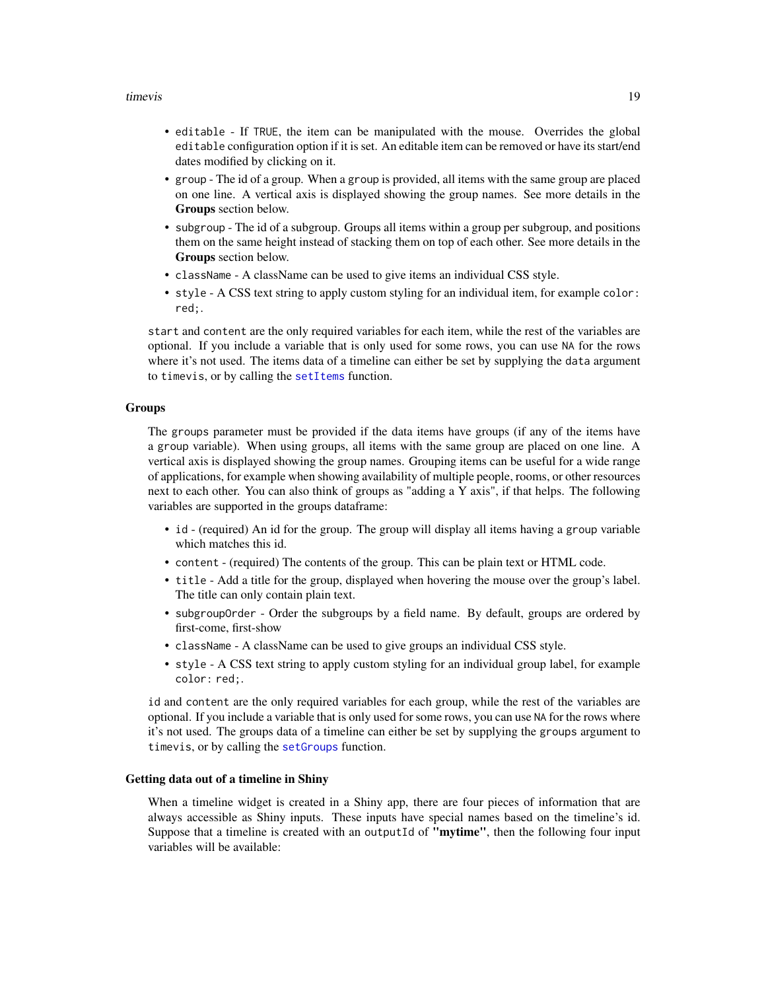#### <span id="page-18-0"></span>timevis and the contract of the contract of the contract of the contract of the contract of the contract of the contract of the contract of the contract of the contract of the contract of the contract of the contract of th

- editable If TRUE, the item can be manipulated with the mouse. Overrides the global editable configuration option if it is set. An editable item can be removed or have its start/end dates modified by clicking on it.
- group The id of a group. When a group is provided, all items with the same group are placed on one line. A vertical axis is displayed showing the group names. See more details in the Groups section below.
- subgroup The id of a subgroup. Groups all items within a group per subgroup, and positions them on the same height instead of stacking them on top of each other. See more details in the Groups section below.
- className A className can be used to give items an individual CSS style.
- style A CSS text string to apply custom styling for an individual item, for example color: red;.

start and content are the only required variables for each item, while the rest of the variables are optional. If you include a variable that is only used for some rows, you can use NA for the rows where it's not used. The items data of a timeline can either be set by supplying the data argument to timevis, or by calling the [setItems](#page-12-1) function.

#### Groups

The groups parameter must be provided if the data items have groups (if any of the items have a group variable). When using groups, all items with the same group are placed on one line. A vertical axis is displayed showing the group names. Grouping items can be useful for a wide range of applications, for example when showing availability of multiple people, rooms, or other resources next to each other. You can also think of groups as "adding a Y axis", if that helps. The following variables are supported in the groups dataframe:

- id (required) An id for the group. The group will display all items having a group variable which matches this id.
- content (required) The contents of the group. This can be plain text or HTML code.
- title Add a title for the group, displayed when hovering the mouse over the group's label. The title can only contain plain text.
- subgroupOrder Order the subgroups by a field name. By default, groups are ordered by first-come, first-show
- className A className can be used to give groups an individual CSS style.
- style A CSS text string to apply custom styling for an individual group label, for example color: red;.

id and content are the only required variables for each group, while the rest of the variables are optional. If you include a variable that is only used for some rows, you can use NA for the rows where it's not used. The groups data of a timeline can either be set by supplying the groups argument to timevis, or by calling the [setGroups](#page-11-1) function.

#### Getting data out of a timeline in Shiny

When a timeline widget is created in a Shiny app, there are four pieces of information that are always accessible as Shiny inputs. These inputs have special names based on the timeline's id. Suppose that a timeline is created with an outputId of "mytime", then the following four input variables will be available: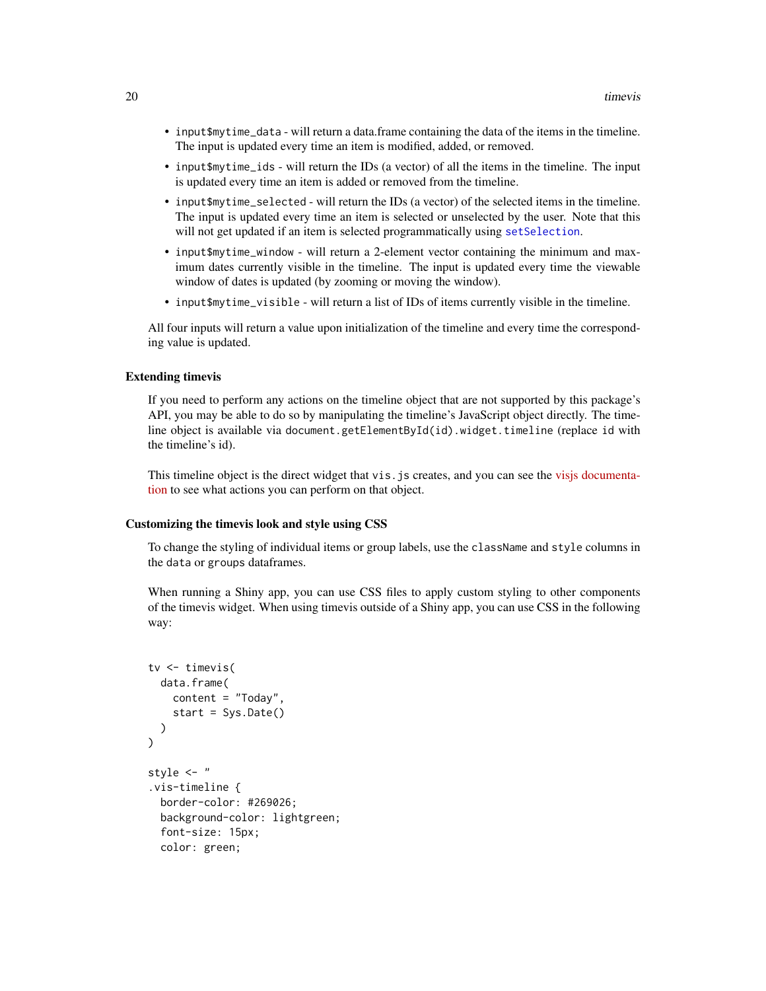- <span id="page-19-0"></span>• input\$mytime\_data - will return a data.frame containing the data of the items in the timeline. The input is updated every time an item is modified, added, or removed.
- input\$mytime\_ids will return the IDs (a vector) of all the items in the timeline. The input is updated every time an item is added or removed from the timeline.
- input\$mytime\_selected will return the IDs (a vector) of the selected items in the timeline. The input is updated every time an item is selected or unselected by the user. Note that this will not get updated if an item is selected programmatically using [setSelection](#page-14-1).
- input\$mytime\_window will return a 2-element vector containing the minimum and maximum dates currently visible in the timeline. The input is updated every time the viewable window of dates is updated (by zooming or moving the window).
- input\$mytime\_visible will return a list of IDs of items currently visible in the timeline.

All four inputs will return a value upon initialization of the timeline and every time the corresponding value is updated.

#### Extending timevis

If you need to perform any actions on the timeline object that are not supported by this package's API, you may be able to do so by manipulating the timeline's JavaScript object directly. The timeline object is available via document.getElementById(id).widget.timeline (replace id with the timeline's id).

This timeline object is the direct widget that vis.js creates, and you can see the [visjs documenta](https://visjs.github.io/vis-timeline/docs/timeline/)[tion](https://visjs.github.io/vis-timeline/docs/timeline/) to see what actions you can perform on that object.

#### Customizing the timevis look and style using CSS

To change the styling of individual items or group labels, use the className and style columns in the data or groups dataframes.

When running a Shiny app, you can use CSS files to apply custom styling to other components of the timevis widget. When using timevis outside of a Shiny app, you can use CSS in the following way:

```
tv <- timevis(
  data.frame(
    content = "Today",
    start = Sys.Date()
 )
\mathcal{L}style <- "
.vis-timeline {
 border-color: #269026;
 background-color: lightgreen;
  font-size: 15px;
  color: green;
```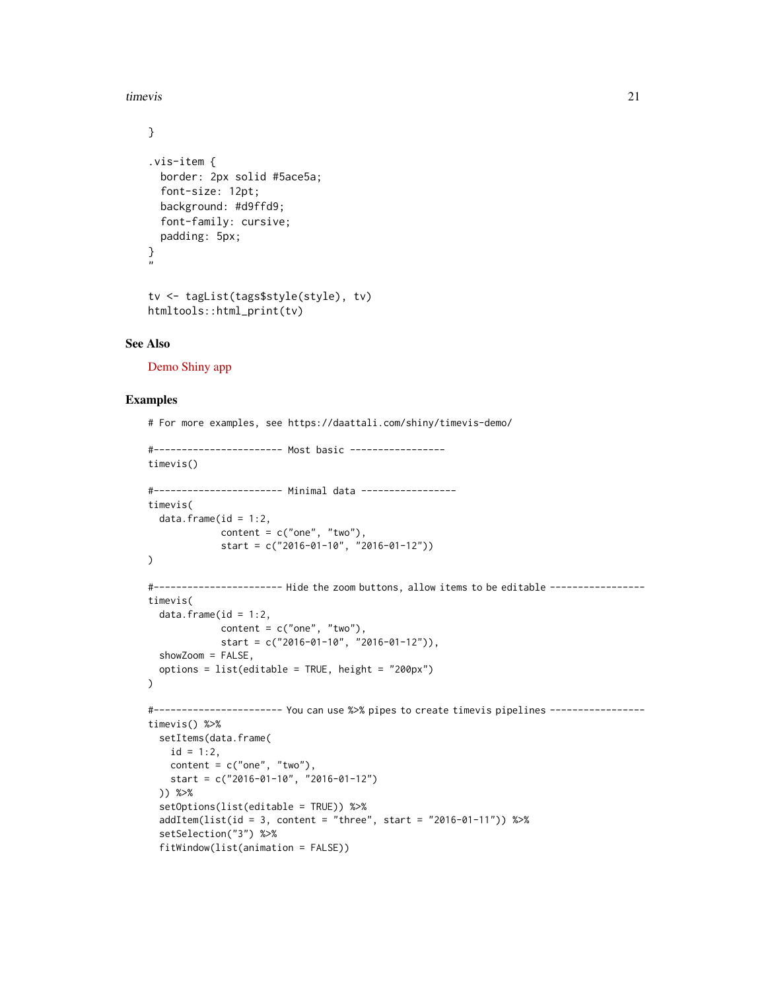timevis 21

```
}
.vis-item {
  border: 2px solid #5ace5a;
  font-size: 12pt;
 background: #d9ffd9;
  font-family: cursive;
  padding: 5px;
}
"
tv <- tagList(tags$style(style), tv)
htmltools::html_print(tv)
```
## See Also

[Demo Shiny app](https://daattali.com/shiny/timevis-demo/)

```
# For more examples, see https://daattali.com/shiny/timevis-demo/
#----------------------- Most basic -----------------
timevis()
#----------------------- Minimal data -----------------
timevis(
 data.frame(id = 1:2,
            content = c("one", "two"),start = c("2016-01-10", "2016-01-12"))
\lambda#----------------------- Hide the zoom buttons, allow items to be editable -----------------
timevis(
  data.frame(id = 1:2,
             content = c("one", "two"),start = c("2016-01-10", "2016-01-12")),
  showZoom = FALSE,
  options = list(editable = TRUE, height = "200px")
)
#----------------------- You can use %>% pipes to create timevis pipelines -----------------
timevis() %>%
  setItems(data.frame(
   id = 1:2,
   content = c("one", "two"),start = c("2016-01-10", "2016-01-12")
  )) %>%
  setOptions(list(editable = TRUE)) %>%
  addItem(list(id = 3, content = "three", start = "2016-01-11")) %>%
  setSelection("3") %>%
  fitWindow(list(animation = FALSE))
```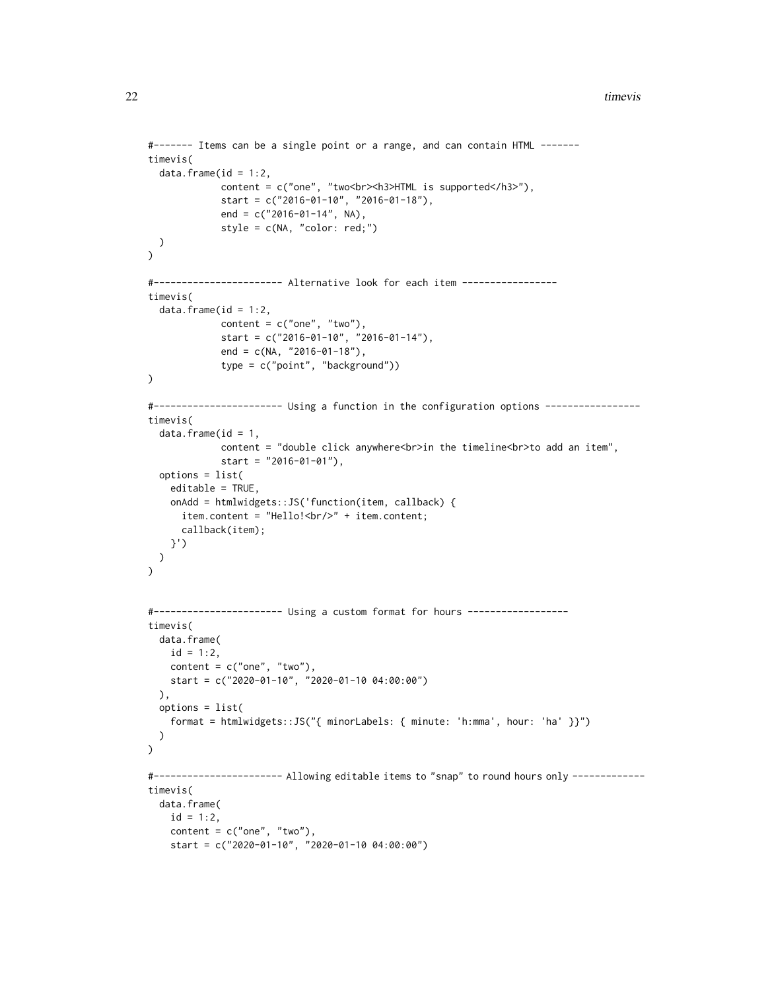```
#------- Items can be a single point or a range, and can contain HTML -------
timevis(
  data.frame(id = 1:2,
             content = c("one", "two<br>>br><h3>HTML is supported</h3>"),
             start = c("2016-01-10", "2016-01-18"),
             end = c("2016-01-14", NA),
             style = c(NA, "color: red;")
 )
\mathcal{L}#----------------------- Alternative look for each item -----------------
timevis(
  data.frame(id = 1:2,
             content = c("one", "two"),start = c("2016-01-10", "2016-01-14"),
             end = c(NA, "2016-01-18"),
             type = c("point", "background"))
\mathcal{L}#----------------------- Using a function in the configuration options -----------------
timevis(
  data.frame(id = 1,
             content = "double click anywhere<br>in the timeline<br/>shing add an item",
             start = "2016-01-01"),
  options = list(
    editable = TRUE,
    onAdd = htmlwidgets::JS('function(item, callback) {
      item.content = "Hello!<br/>" + item.content;
      callback(item);
   }')
 )
\mathcal{L}#----------------------- Using a custom format for hours ------------------
timevis(
  data.frame(
    id = 1:2,content = c("one", "two"),start = c("2020-01-10", "2020-01-10 04:00:00")
  ),
  options = list(
    format = htmlwidgets::JS("{ minorLabels: { minute: 'h:mma', hour: 'ha' }}")
  )
)
#----------------------- Allowing editable items to "snap" to round hours only -------------
timevis(
  data.frame(
    id = 1:2,content = c("one", "two"),start = c("2020-01-10", "2020-01-10 04:00:00")
```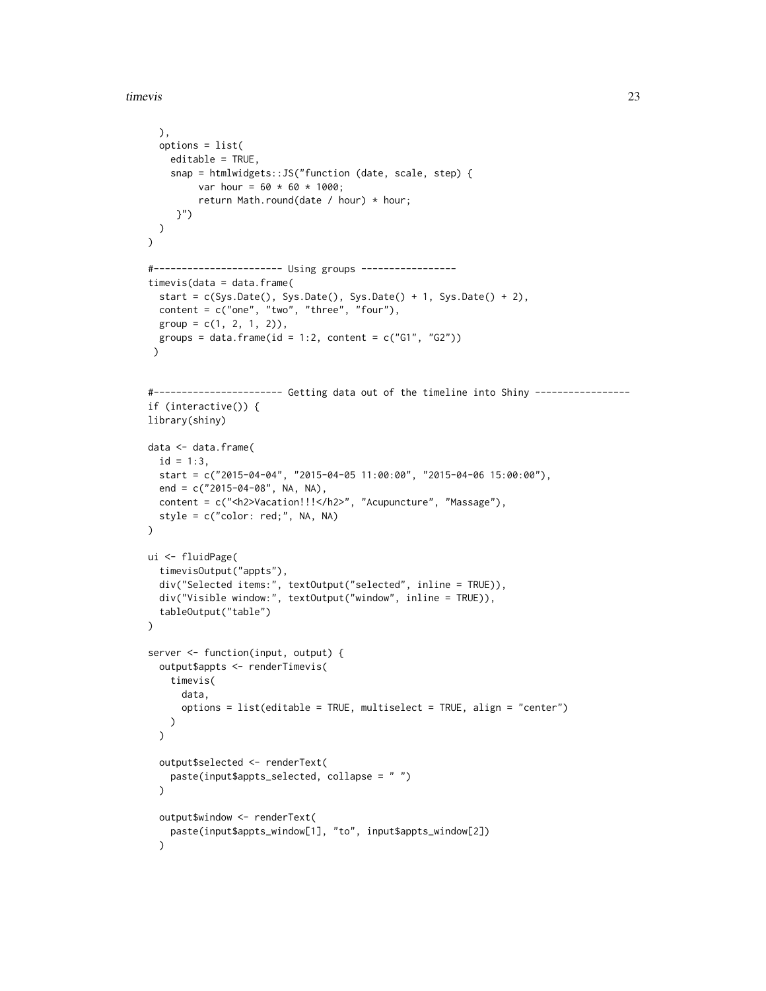timevis 23

```
),
  options = list(
   editable = TRUE,
    snap = htmlwidgets::JS("function (date, scale, step) {
         var hour = 60 * 60 * 1000;
         return Math.round(date / hour) * hour;
     }")
 )
\lambda#----------------------- Using groups -----------------
timevis(data = data.frame(
  start = c(Sys.Date(), Sys.Date(), Sys.Date() + 1, Sys.Date() + 2),content = c("one", "two", "three", "four"),group = c(1, 2, 1, 2)),groups = data.frame(id = 1:2, content = c("G1", "G2")))
#----------------------- Getting data out of the timeline into Shiny -----------------
if (interactive()) {
library(shiny)
data <- data.frame(
  id = 1:3,start = c("2015-04-04", "2015-04-05 11:00:00", "2015-04-06 15:00:00"),end = c("2015-04-08", NA, NA),
  content = c("<h2>Vacation!!!</h2>", "Acupuncture", "Massage"),
  style = c("color: red;", NA, NA)
\mathcal{L}ui <- fluidPage(
  timevisOutput("appts"),
  div("Selected items:", textOutput("selected", inline = TRUE)),
  div("Visible window:", textOutput("window", inline = TRUE)),
  tableOutput("table")
\lambdaserver <- function(input, output) {
  output$appts <- renderTimevis(
    timevis(
      data,
      options = list(editable = TRUE, multiselect = TRUE, align = "center")
   )
  \lambdaoutput$selected <- renderText(
   paste(input$appts_selected, collapse = " ")
  \lambdaoutput$window <- renderText(
    paste(input$appts_window[1], "to", input$appts_window[2])
  \lambda
```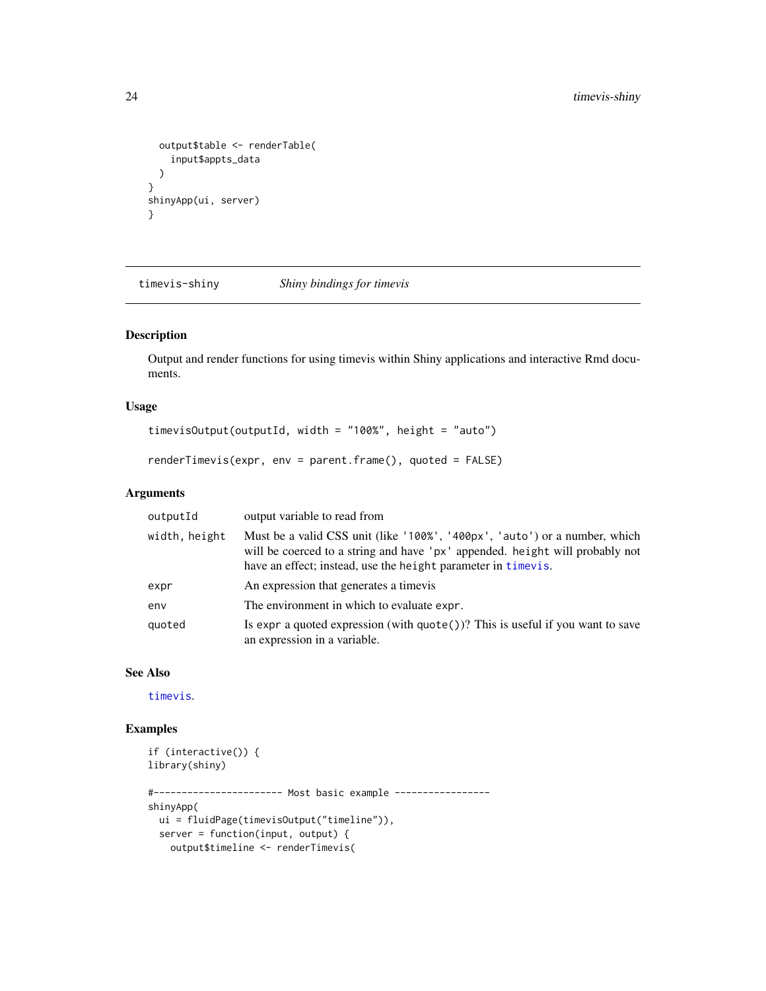```
output$table <- renderTable(
    input$appts_data
  \lambda}
shinyApp(ui, server)
}
```
timevis-shiny *Shiny bindings for timevis*

## <span id="page-23-1"></span>Description

Output and render functions for using timevis within Shiny applications and interactive Rmd documents.

## Usage

```
timevisOutput(outputId, width = "100%", height = "auto")
```

```
renderTimevis(expr, env = parent.frame(), quoted = FALSE)
```
## Arguments

| outputId      | output variable to read from                                                                                                                                                                                                |
|---------------|-----------------------------------------------------------------------------------------------------------------------------------------------------------------------------------------------------------------------------|
| width, height | Must be a valid CSS unit (like '100%', '400px', 'auto') or a number, which<br>will be coerced to a string and have 'px' appended. height will probably not<br>have an effect; instead, use the height parameter in timevis. |
| expr          | An expression that generates a time is                                                                                                                                                                                      |
| env           | The environment in which to evaluate expr.                                                                                                                                                                                  |
| quoted        | Is expr a quoted expression (with $\text{quote}()$ )? This is useful if you want to save<br>an expression in a variable.                                                                                                    |

# See Also

[timevis](#page-16-1).

```
if (interactive()) {
library(shiny)
#----------------------- Most basic example -----------------
shinyApp(
 ui = fluidPage(timevisOutput("timeline")),
 server = function(input, output) {
   output$timeline <- renderTimevis(
```
<span id="page-23-0"></span>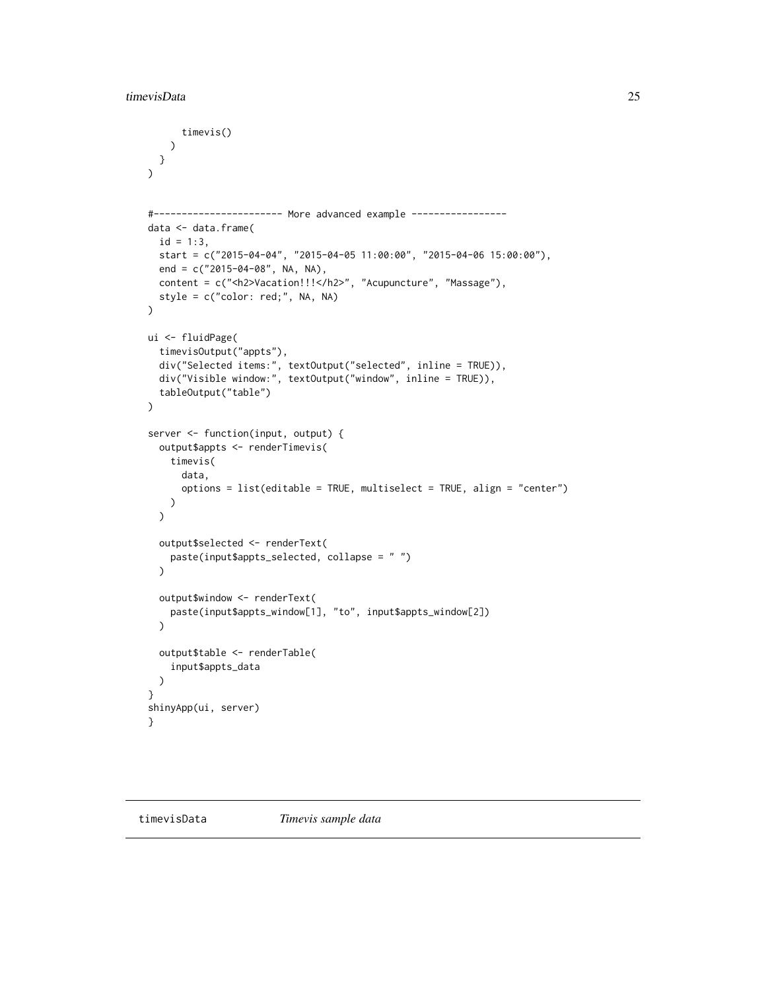```
timevis()
    )
 }
\lambda#----------------------- More advanced example -----------------
data <- data.frame(
  id = 1:3,
  start = c("2015-04-04", "2015-04-05 11:00:00", "2015-04-06 15:00:00"),end = c("2015-04-08", NA, NA),
  content = c("<h2>Vacation!!!</h2>", "Acupuncture", "Massage"),
  style = c("color: red;", NA, NA)
\lambdaui <- fluidPage(
  timevisOutput("appts"),
  div("Selected items:", textOutput("selected", inline = TRUE)),
  div("Visible window:", textOutput("window", inline = TRUE)),
  tableOutput("table")
\lambdaserver <- function(input, output) {
  output$appts <- renderTimevis(
   timevis(
      data,
      options = list(editable = TRUE, multiselect = TRUE, align = "center")
    )
  \mathcal{L}output$selected <- renderText(
    paste(input$appts_selected, collapse = " ")
  \lambdaoutput$window <- renderText(
    paste(input$appts_window[1], "to", input$appts_window[2])
  \lambdaoutput$table <- renderTable(
    input$appts_data
  )
}
shinyApp(ui, server)
}
```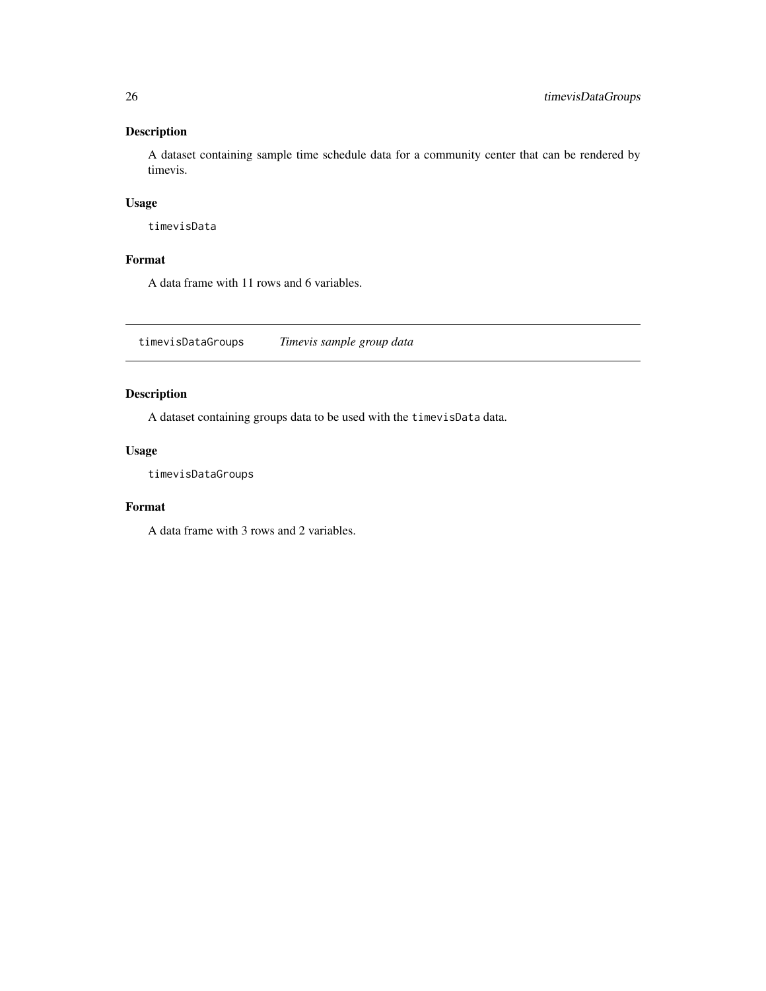<span id="page-25-0"></span>A dataset containing sample time schedule data for a community center that can be rendered by timevis.

#### Usage

timevisData

# Format

A data frame with 11 rows and 6 variables.

timevisDataGroups *Timevis sample group data*

# Description

A dataset containing groups data to be used with the timevisData data.

#### Usage

timevisDataGroups

## Format

A data frame with 3 rows and 2 variables.